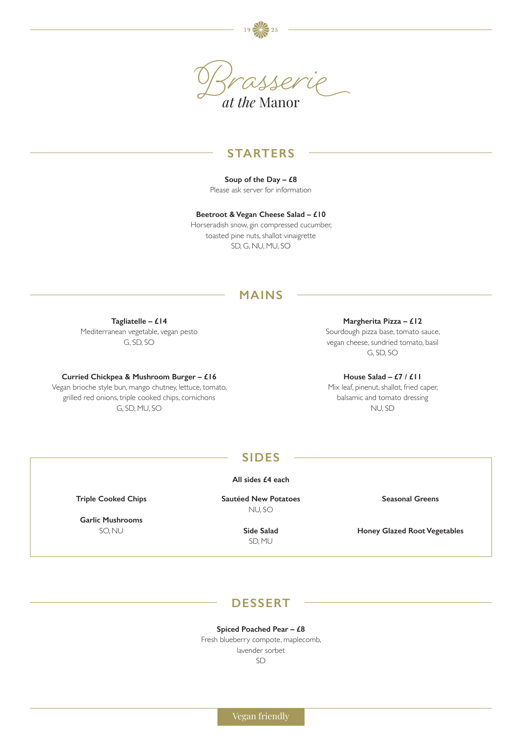

## **STARTERS**

**Soup of the Day – £8** Please ask server for information

**Beetroot & Vegan Cheese Salad – £10**  Horseradish snow, gin compressed cucumber, toasted pine nuts, shallot vinaigrette SD, G, NU, MU, SO

## **MAINS**

**Tagliatelle – £14** Mediterranean vegetable, vegan pesto G, SD, SO

**Curried Chickpea & Mushroom Burger – £16** 

Vegan brioche style bun, mango chutney, lettuce, tomato, grilled red onions, triple cooked chips, cornichons G, SD, MU, SO

**Triple Cooked Chips** 

**Garlic Mushrooms**  SO, NU

**Margherita Pizza – £12** Sourdough pizza base, tomato sauce, vegan cheese, sundried tomato, basil G, SD, SO

**House Salad – £7 / £11** Mix leaf, pinenut, shallot, fried caper, balsamic and tomato dressing NU, SD

## **SIDES**

**All sides £4 each**

**Sautéed New Potatoes**  NU, SO

> **Side Salad**  SD, MU

**Seasonal Greens** 

**Honey Glazed Root Vegetables** 

## **DESSERT**

**Spiced Poached Pear – £8**

Fresh blueberry compote, maplecomb, lavender sorbet SD

Vegan friendly